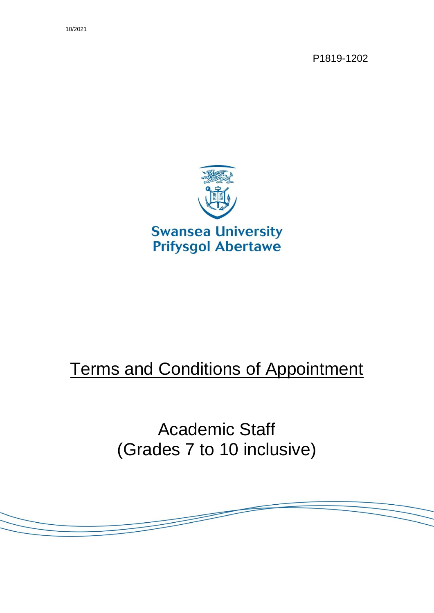P1819-1202



# **Terms and Conditions of Appointment**

Academic Staff (Grades 7 to 10 inclusive)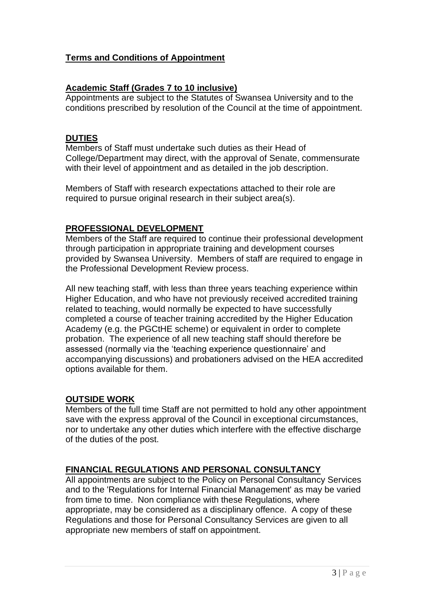## **Terms and Conditions of Appointment**

#### **Academic Staff (Grades 7 to 10 inclusive)**

Appointments are subject to the Statutes of Swansea University and to the conditions prescribed by resolution of the Council at the time of appointment.

#### **DUTIES**

Members of Staff must undertake such duties as their Head of College/Department may direct, with the approval of Senate, commensurate with their level of appointment and as detailed in the job description.

Members of Staff with research expectations attached to their role are required to pursue original research in their subject area(s).

#### **PROFESSIONAL DEVELOPMENT**

Members of the Staff are required to continue their professional development through participation in appropriate training and development courses provided by Swansea University. Members of staff are required to engage in the Professional Development Review process.

All new teaching staff, with less than three years teaching experience within Higher Education, and who have not previously received accredited training related to teaching, would normally be expected to have successfully completed a course of teacher training accredited by the Higher Education Academy (e.g. the PGCtHE scheme) or equivalent in order to complete probation. The experience of all new teaching staff should therefore be assessed (normally via the 'teaching experience questionnaire' and accompanying discussions) and probationers advised on the HEA accredited options available for them.

#### **OUTSIDE WORK**

Members of the full time Staff are not permitted to hold any other appointment save with the express approval of the Council in exceptional circumstances, nor to undertake any other duties which interfere with the effective discharge of the duties of the post.

# **FINANCIAL REGULATIONS AND PERSONAL CONSULTANCY**

All appointments are subject to the Policy on Personal Consultancy Services and to the 'Regulations for Internal Financial Management' as may be varied from time to time. Non compliance with these Regulations, where appropriate, may be considered as a disciplinary offence. A copy of these Regulations and those for Personal Consultancy Services are given to all appropriate new members of staff on appointment.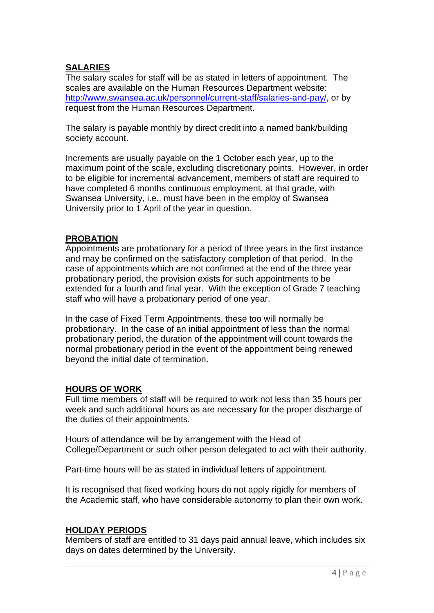## **SALARIES**

The salary scales for staff will be as stated in letters of appointment. The scales are available on the Human Resources Department website: [http://www.swansea.ac.uk/personnel/current-staff/salaries-and-pay/,](http://www.swansea.ac.uk/personnel/current-staff/salaries-and-pay/) or by request from the Human Resources Department.

The salary is payable monthly by direct credit into a named bank/building society account.

Increments are usually payable on the 1 October each year, up to the maximum point of the scale, excluding discretionary points. However, in order to be eligible for incremental advancement, members of staff are required to have completed 6 months continuous employment, at that grade, with Swansea University, i.e., must have been in the employ of Swansea University prior to 1 April of the year in question.

#### **PROBATION**

Appointments are probationary for a period of three years in the first instance and may be confirmed on the satisfactory completion of that period. In the case of appointments which are not confirmed at the end of the three year probationary period, the provision exists for such appointments to be extended for a fourth and final year. With the exception of Grade 7 teaching staff who will have a probationary period of one year.

In the case of Fixed Term Appointments, these too will normally be probationary. In the case of an initial appointment of less than the normal probationary period, the duration of the appointment will count towards the normal probationary period in the event of the appointment being renewed beyond the initial date of termination.

#### **HOURS OF WORK**

Full time members of staff will be required to work not less than 35 hours per week and such additional hours as are necessary for the proper discharge of the duties of their appointments.

Hours of attendance will be by arrangement with the Head of College/Department or such other person delegated to act with their authority.

Part-time hours will be as stated in individual letters of appointment.

It is recognised that fixed working hours do not apply rigidly for members of the Academic staff, who have considerable autonomy to plan their own work.

#### **HOLIDAY PERIODS**

Members of staff are entitled to 31 days paid annual leave, which includes six days on dates determined by the University.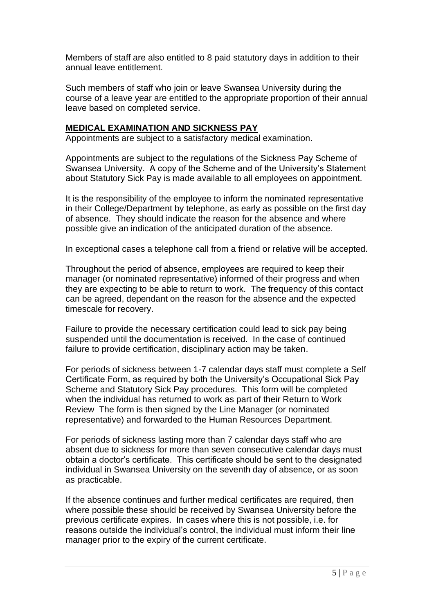Members of staff are also entitled to 8 paid statutory days in addition to their annual leave entitlement.

Such members of staff who join or leave Swansea University during the course of a leave year are entitled to the appropriate proportion of their annual leave based on completed service.

### **MEDICAL EXAMINATION AND SICKNESS PAY**

Appointments are subject to a satisfactory medical examination.

Appointments are subject to the regulations of the Sickness Pay Scheme of Swansea University. A copy of the Scheme and of the University's Statement about Statutory Sick Pay is made available to all employees on appointment.

It is the responsibility of the employee to inform the nominated representative in their College/Department by telephone, as early as possible on the first day of absence. They should indicate the reason for the absence and where possible give an indication of the anticipated duration of the absence.

In exceptional cases a telephone call from a friend or relative will be accepted.

Throughout the period of absence, employees are required to keep their manager (or nominated representative) informed of their progress and when they are expecting to be able to return to work. The frequency of this contact can be agreed, dependant on the reason for the absence and the expected timescale for recovery.

Failure to provide the necessary certification could lead to sick pay being suspended until the documentation is received. In the case of continued failure to provide certification, disciplinary action may be taken.

For periods of sickness between 1-7 calendar days staff must complete a Self Certificate Form, as required by both the University's Occupational Sick Pay Scheme and Statutory Sick Pay procedures. This form will be completed when the individual has returned to work as part of their Return to Work Review The form is then signed by the Line Manager (or nominated representative) and forwarded to the Human Resources Department.

For periods of sickness lasting more than 7 calendar days staff who are absent due to sickness for more than seven consecutive calendar days must obtain a doctor's certificate. This certificate should be sent to the designated individual in Swansea University on the seventh day of absence, or as soon as practicable.

If the absence continues and further medical certificates are required, then where possible these should be received by Swansea University before the previous certificate expires. In cases where this is not possible, i.e. for reasons outside the individual's control, the individual must inform their line manager prior to the expiry of the current certificate.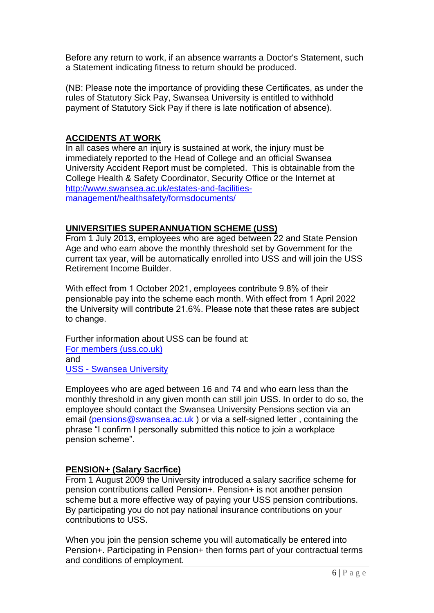Before any return to work, if an absence warrants a Doctor's Statement, such a Statement indicating fitness to return should be produced.

(NB: Please note the importance of providing these Certificates, as under the rules of Statutory Sick Pay, Swansea University is entitled to withhold payment of Statutory Sick Pay if there is late notification of absence).

# **ACCIDENTS AT WORK**

In all cases where an injury is sustained at work, the injury must be immediately reported to the Head of College and an official Swansea University Accident Report must be completed. This is obtainable from the College Health & Safety Coordinator, Security Office or the Internet at [http://www.swansea.ac.uk/estates-and-facilities](http://www.swansea.ac.uk/estates-and-facilities-management/healthsafety/formsdocuments/)[management/healthsafety/formsdocuments/](http://www.swansea.ac.uk/estates-and-facilities-management/healthsafety/formsdocuments/)

## **UNIVERSITIES SUPERANNUATION SCHEME (USS)**

From 1 July 2013, employees who are aged between 22 and State Pension Age and who earn above the monthly threshold set by Government for the current tax year, will be automatically enrolled into USS and will join the USS Retirement Income Builder.

With effect from 1 October 2021, employees contribute 9.8% of their pensionable pay into the scheme each month. With effect from 1 April 2022 the University will contribute 21.6%. Please note that these rates are subject to change.

[Further information about](https://www.uss.co.uk/for-members) USS can be found at: For members (uss.co.uk) [and](https://staff.swansea.ac.uk/professional-services/finance-swansea-university/pensions/pensions-uss/)  USS - Swansea University

Employees who are aged between 16 and 74 and who earn less than the monthly threshold in any given month can still join USS. In order to do so, the employee should contact the Swansea University Pensions section via an email [\(pensions@swansea.ac.uk](mailto:pensions@swansea.ac.uk) ) or via a self-signed letter , containing the phrase "I confirm I personally submitted this notice to join a workplace pension scheme".

# **PENSION+ (Salary Sacrfice)**

From 1 August 2009 the University introduced a salary sacrifice scheme for pension contributions called Pension+. Pension+ is not another pension scheme but a more effective way of paying your USS pension contributions. By participating you do not pay national insurance contributions on your contributions to USS.

When you join the pension scheme you will automatically be entered into Pension+. Participating in Pension+ then forms part of your contractual terms and conditions of employment.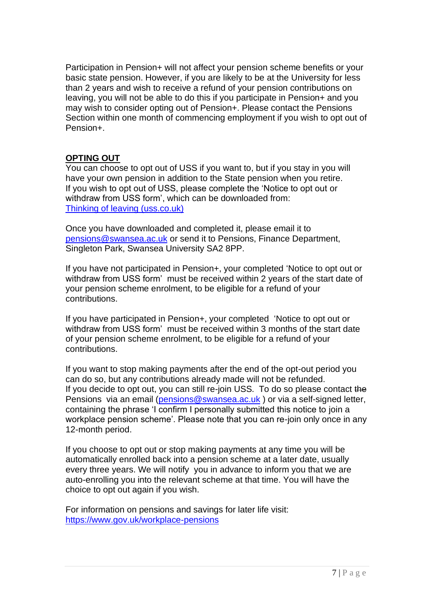Participation in Pension+ will not affect your pension scheme benefits or your basic state pension. However, if you are likely to be at the University for less than 2 years and wish to receive a refund of your pension contributions on leaving, you will not be able to do this if you participate in Pension+ and you may wish to consider opting out of Pension+. Please contact the Pensions Section within one month of commencing employment if you wish to opt out of Pension+.

## **OPTING OUT**

You can choose to opt out of USS if you want to, but if you stay in you will have your own pension in addition to the State pension when you retire. If you wish to opt out of USS, please complete the 'Notice to opt out or withdraw from USS form', which can be downloaded from: [Thinking of leaving \(uss.co.uk\)](https://www.uss.co.uk/for-members/leaving-or-already-left/thinking-of-leaving)

Once you have downloaded and completed it, please email it to [pensions@swansea.ac.uk](mailto:pensions@swansea.ac.uk) or send it to Pensions, Finance Department, Singleton Park, Swansea University SA2 8PP.

If you have not participated in Pension+, your completed 'Notice to opt out or withdraw from USS form' must be received within 2 years of the start date of your pension scheme enrolment, to be eligible for a refund of your contributions.

If you have participated in Pension+, your completed 'Notice to opt out or withdraw from USS form' must be received within 3 months of the start date of your pension scheme enrolment, to be eligible for a refund of your contributions.

If you want to stop making payments after the end of the opt-out period you can do so, but any contributions already made will not be refunded. If you decide to opt out, you can still re-join USS. To do so please contact the Pensions via an email [\(pensions@swansea.ac.uk](mailto:pensions@swansea.ac.uk)) or via a self-signed letter, containing the phrase 'I confirm I personally submitted this notice to join a workplace pension scheme'. Please note that you can re-join only once in any 12-month period.

If you choose to opt out or stop making payments at any time you will be automatically enrolled back into a pension scheme at a later date, usually every three years. We will notify you in advance to inform you that we are auto-enrolling you into the relevant scheme at that time. You will have the choice to opt out again if you wish.

For information on pensions and savings for later life visit: <https://www.gov.uk/workplace-pensions>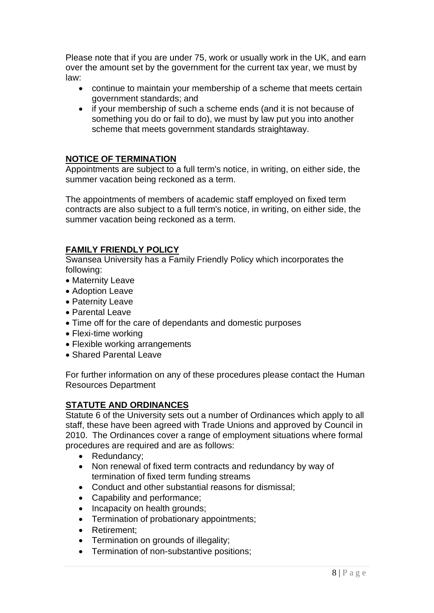Please note that if you are under 75, work or usually work in the UK, and earn over the amount set by the government for the current tax year, we must by law:

- continue to maintain your membership of a scheme that meets certain government standards; and
- if your membership of such a scheme ends (and it is not because of something you do or fail to do), we must by law put you into another scheme that meets government standards straightaway.

#### **NOTICE OF TERMINATION**

Appointments are subject to a full term's notice, in writing, on either side, the summer vacation being reckoned as a term.

The appointments of members of academic staff employed on fixed term contracts are also subject to a full term's notice, in writing, on either side, the summer vacation being reckoned as a term.

## **FAMILY FRIENDLY POLICY**

Swansea University has a Family Friendly Policy which incorporates the following:

- Maternity Leave
- Adoption Leave
- Paternity Leave
- Parental Leave
- Time off for the care of dependants and domestic purposes
- Flexi-time working
- Flexible working arrangements
- Shared Parental Leave

For further information on any of these procedures please contact the Human Resources Department

# **STATUTE AND ORDINANCES**

Statute 6 of the University sets out a number of Ordinances which apply to all staff, these have been agreed with Trade Unions and approved by Council in 2010. The Ordinances cover a range of employment situations where formal procedures are required and are as follows:

- Redundancy;
- Non renewal of fixed term contracts and redundancy by way of termination of fixed term funding streams
- Conduct and other substantial reasons for dismissal;
- Capability and performance;
- Incapacity on health grounds;
- Termination of probationary appointments;
- Retirement;
- Termination on grounds of illegality;
- Termination of non-substantive positions;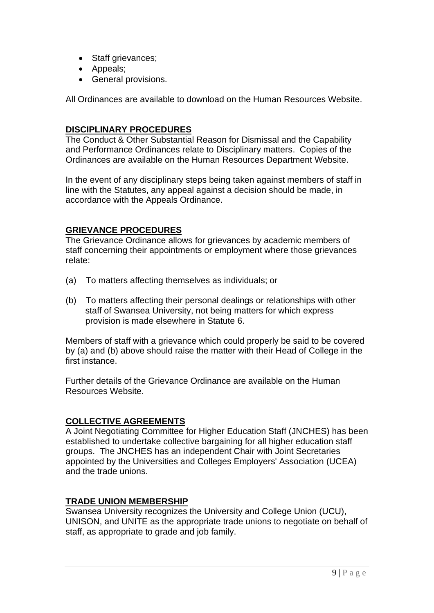- Staff grievances;
- Appeals;
- General provisions.

All Ordinances are available to download on the Human Resources Website.

## **DISCIPLINARY PROCEDURES**

The Conduct & Other Substantial Reason for Dismissal and the Capability and Performance Ordinances relate to Disciplinary matters. Copies of the Ordinances are available on the Human Resources Department Website.

In the event of any disciplinary steps being taken against members of staff in line with the Statutes, any appeal against a decision should be made, in accordance with the Appeals Ordinance.

## **GRIEVANCE PROCEDURES**

The Grievance Ordinance allows for grievances by academic members of staff concerning their appointments or employment where those grievances relate:

- (a) To matters affecting themselves as individuals; or
- (b) To matters affecting their personal dealings or relationships with other staff of Swansea University, not being matters for which express provision is made elsewhere in Statute 6.

Members of staff with a grievance which could properly be said to be covered by (a) and (b) above should raise the matter with their Head of College in the first instance.

Further details of the Grievance Ordinance are available on the Human Resources Website.

#### **COLLECTIVE AGREEMENTS**

A Joint Negotiating Committee for Higher Education Staff (JNCHES) has been established to undertake collective bargaining for all higher education staff groups. The JNCHES has an independent Chair with Joint Secretaries appointed by the Universities and Colleges Employers' Association (UCEA) and the trade unions.

#### **TRADE UNION MEMBERSHIP**

Swansea University recognizes the University and College Union (UCU), UNISON, and UNITE as the appropriate trade unions to negotiate on behalf of staff, as appropriate to grade and job family.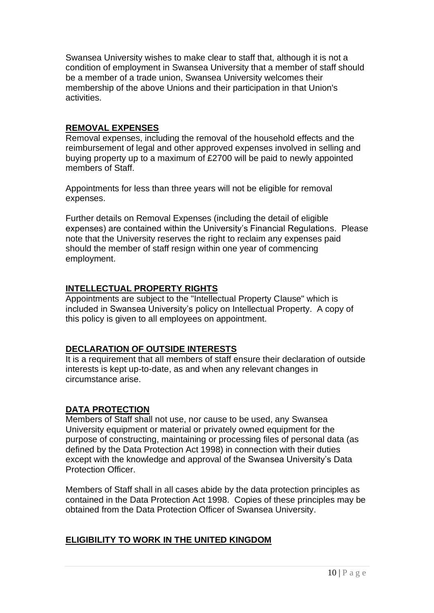Swansea University wishes to make clear to staff that, although it is not a condition of employment in Swansea University that a member of staff should be a member of a trade union, Swansea University welcomes their membership of the above Unions and their participation in that Union's activities.

### **REMOVAL EXPENSES**

Removal expenses, including the removal of the household effects and the reimbursement of legal and other approved expenses involved in selling and buying property up to a maximum of £2700 will be paid to newly appointed members of Staff.

Appointments for less than three years will not be eligible for removal expenses.

Further details on Removal Expenses (including the detail of eligible expenses) are contained within the University's Financial Regulations. Please note that the University reserves the right to reclaim any expenses paid should the member of staff resign within one year of commencing employment.

## **INTELLECTUAL PROPERTY RIGHTS**

Appointments are subject to the "Intellectual Property Clause" which is included in Swansea University's policy on Intellectual Property. A copy of this policy is given to all employees on appointment.

# **DECLARATION OF OUTSIDE INTERESTS**

It is a requirement that all members of staff ensure their declaration of outside interests is kept up-to-date, as and when any relevant changes in circumstance arise.

# **DATA PROTECTION**

Members of Staff shall not use, nor cause to be used, any Swansea University equipment or material or privately owned equipment for the purpose of constructing, maintaining or processing files of personal data (as defined by the Data Protection Act 1998) in connection with their duties except with the knowledge and approval of the Swansea University's Data Protection Officer.

Members of Staff shall in all cases abide by the data protection principles as contained in the Data Protection Act 1998. Copies of these principles may be obtained from the Data Protection Officer of Swansea University.

# **ELIGIBILITY TO WORK IN THE UNITED KINGDOM**